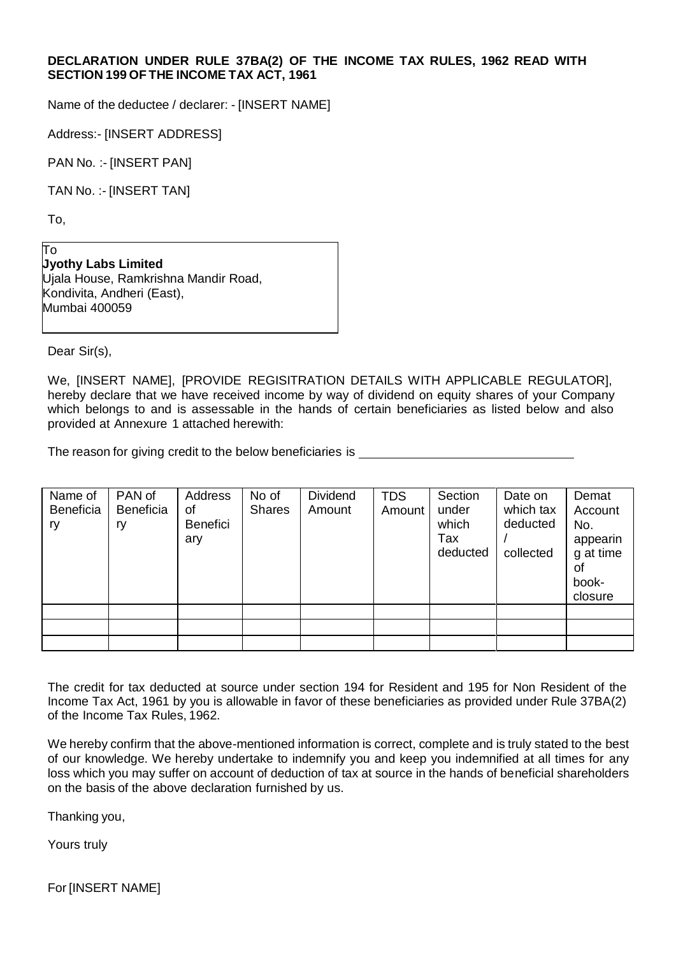## **DECLARATION UNDER RULE 37BA(2) OF THE INCOME TAX RULES, 1962 READ WITH SECTION 199 OF THE INCOME TAX ACT, 1961**

Name of the deductee / declarer: - [INSERT NAME]

Address:- [INSERT ADDRESS]

PAN No. :- [INSERT PAN]

TAN No. :- [INSERT TAN]

To,

To **Jyothy Labs Limited** Ujala House, Ramkrishna Mandir Road, Kondivita, Andheri (East), Mumbai 400059

Dear Sir(s),

We, [INSERT NAME], [PROVIDE REGISITRATION DETAILS WITH APPLICABLE REGULATOR], hereby declare that we have received income by way of dividend on equity shares of your Company which belongs to and is assessable in the hands of certain beneficiaries as listed below and also provided at Annexure 1 attached herewith:

The reason for giving credit to the below beneficiaries is

| Name of<br><b>Beneficia</b><br>ry | PAN of<br><b>Beneficia</b><br>ry | Address<br>of<br><b>Benefici</b><br>ary | No of<br><b>Shares</b> | <b>Dividend</b><br>Amount | <b>TDS</b><br>Amount | Section<br>under<br>which<br>Tax<br>deducted | Date on<br>which tax<br>deducted<br>collected | Demat<br>Account<br>No.<br>appearin<br>g at time<br>οf<br>book-<br>closure |
|-----------------------------------|----------------------------------|-----------------------------------------|------------------------|---------------------------|----------------------|----------------------------------------------|-----------------------------------------------|----------------------------------------------------------------------------|
|                                   |                                  |                                         |                        |                           |                      |                                              |                                               |                                                                            |
|                                   |                                  |                                         |                        |                           |                      |                                              |                                               |                                                                            |
|                                   |                                  |                                         |                        |                           |                      |                                              |                                               |                                                                            |

The credit for tax deducted at source under section 194 for Resident and 195 for Non Resident of the Income Tax Act, 1961 by you is allowable in favor of these beneficiaries as provided under Rule 37BA(2) of the Income Tax Rules, 1962.

We hereby confirm that the above-mentioned information is correct, complete and is truly stated to the best of our knowledge. We hereby undertake to indemnify you and keep you indemnified at all times for any loss which you may suffer on account of deduction of tax at source in the hands of beneficial shareholders on the basis of the above declaration furnished by us.

Thanking you,

Yours truly

For [INSERT NAME]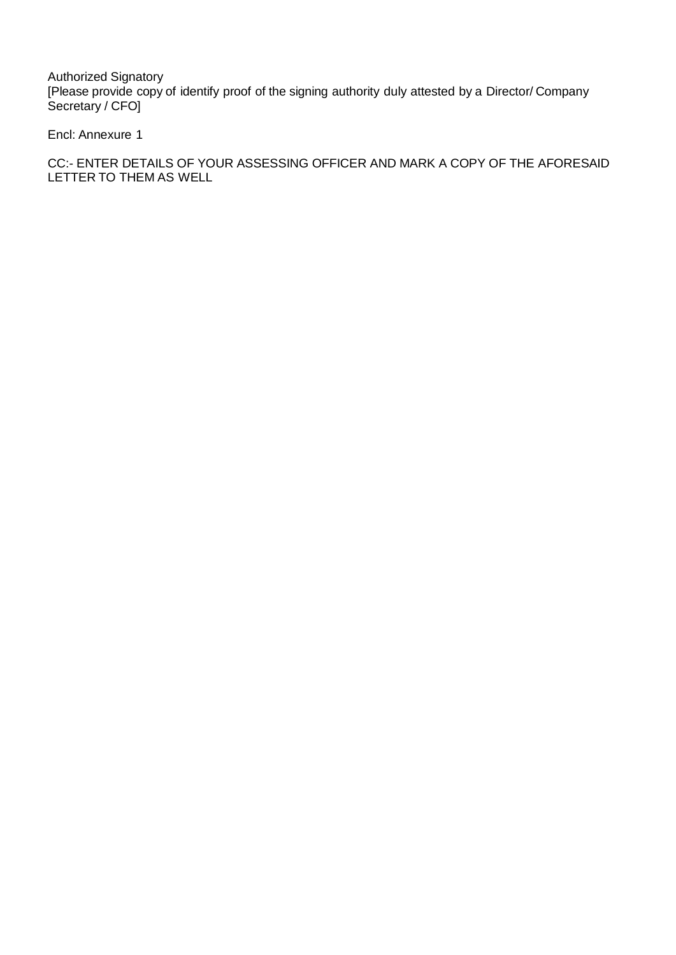Authorized Signatory [Please provide copy of identify proof of the signing authority duly attested by a Director/ Company Secretary / CFO]

Encl: Annexure 1

CC:- ENTER DETAILS OF YOUR ASSESSING OFFICER AND MARK A COPY OF THE AFORESAID LETTER TO THEM AS WELL